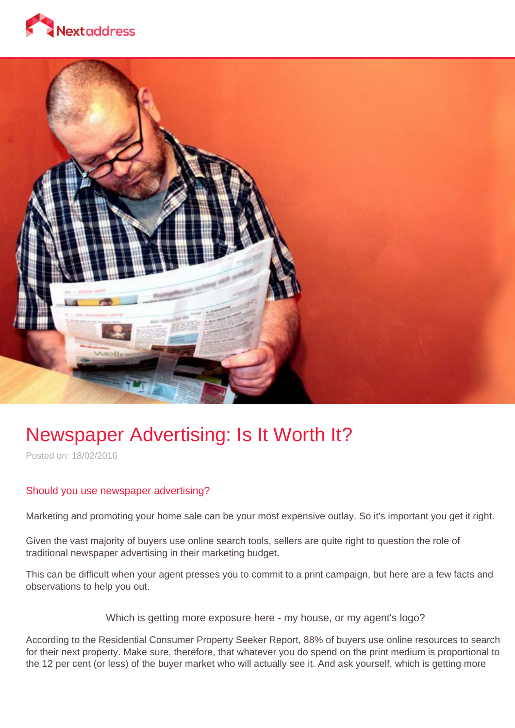



## Newspaper Advertising: Is It Worth It?

Posted on: 18/02/2016

## Should you use newspaper advertising?

Marketing and promoting your home sale can be your most expensive outlay. So it's important you get it right.

Given the vast majority of buyers use online search tools, sellers are quite right to question the role of traditional newspaper advertising in their marketing budget.

This can be difficult when your agent presses you to commit to a print campaign, but here are a few facts and observations to help you out.

Which is getting more exposure here - my house, or my agent's logo?

According to the Residential Consumer Property Seeker Report, 88% of buyers use online resources to search for their next property. Make sure, therefore, that whatever you do spend on the print medium is proportional to the 12 per cent (or less) of the buyer market who will actually see it. And ask yourself, which is getting more